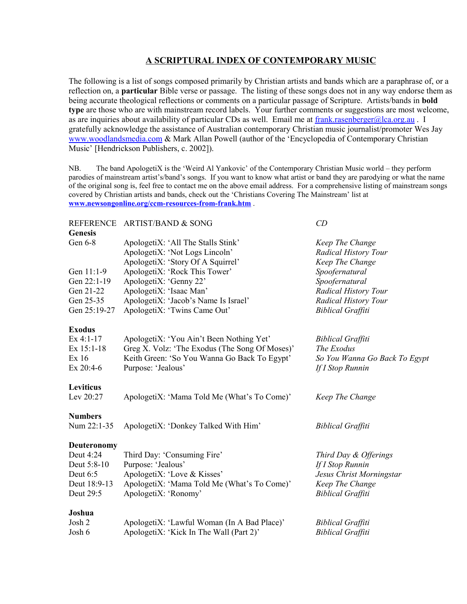# **A SCRIPTURAL INDEX OF CONTEMPORARY MUSIC**

The following is a list of songs composed primarily by Christian artists and bands which are a paraphrase of, or a reflection on, a **particular** Bible verse or passage. The listing of these songs does not in any way endorse them as being accurate theological reflections or comments on a particular passage of Scripture. Artists/bands in **bold type** are those who are with mainstream record labels. Your further comments or suggestions are most welcome, as are inquiries about availability of particular CDs as well. Email me at [frank.rasenberger@lca.org.au](mailto:frank.rasenberger@lca.org.au) . I gratefully acknowledge the assistance of Australian contemporary Christian music journalist/promoter Wes Jay [www.woodlandsmedia.com](http://www.woodlandsmedia.com/) & Mark Allan Powell (author of the 'Encyclopedia of Contemporary Christian Music' [Hendrickson Publishers, c. 2002]).

NB. The band ApologetiX is the 'Weird Al Yankovic' of the Contemporary Christian Music world – they perform parodies of mainstream artist's/band's songs. If you want to know what artist or band they are parodying or what the name of the original song is, feel free to contact me on the above email address. For a comprehensive listing of mainstream songs covered by Christian artists and bands, check out the 'Christians Covering The Mainstream' list at **[www.newsongonline.org/ccm-resources-from-frank.htm](http://www.newsongonline.org/ccm-resources-from-frank.htm)** .

# REFERENCE ARTIST/BAND & SONG *CD*

| <b>Genesis</b>     |                                                |                               |
|--------------------|------------------------------------------------|-------------------------------|
| Gen 6-8            | ApologetiX: 'All The Stalls Stink'             | Keep The Change               |
|                    | ApologetiX: 'Not Logs Lincoln'                 | Radical History Tour          |
|                    | ApologetiX: 'Story Of A Squirrel'              | Keep The Change               |
| Gen 11:1-9         | ApologetiX: 'Rock This Tower'                  | Spoofernatural                |
| Gen 22:1-19        | ApologetiX: 'Genny 22'                         | Spoofernatural                |
| Gen 21-22          | ApologetiX: 'Isaac Man'                        | Radical History Tour          |
| Gen 25-35          | ApologetiX: 'Jacob's Name Is Israel'           | Radical History Tour          |
| Gen 25:19-27       | ApologetiX: 'Twins Came Out'                   | <b>Biblical Graffiti</b>      |
| <b>Exodus</b>      |                                                |                               |
| $Ex$ 4:1-17        | ApologetiX: 'You Ain't Been Nothing Yet'       | <b>Biblical Graffiti</b>      |
| Ex 15:1-18         | Greg X. Volz: 'The Exodus (The Song Of Moses)' | The Exodus                    |
| Ex 16              | Keith Green: 'So You Wanna Go Back To Egypt'   | So You Wanna Go Back To Egypt |
| Ex 20:4-6          | Purpose: 'Jealous'                             | If I Stop Runnin              |
| Leviticus          |                                                |                               |
| Lev 20:27          | ApologetiX: 'Mama Told Me (What's To Come)'    | Keep The Change               |
| <b>Numbers</b>     |                                                |                               |
| Num 22:1-35        | ApologetiX: 'Donkey Talked With Him'           | <b>Biblical Graffiti</b>      |
| <b>Deuteronomy</b> |                                                |                               |
| Deut 4:24          | Third Day: 'Consuming Fire'                    | Third Day & Offerings         |
| Deut 5:8-10        | Purpose: 'Jealous'                             | If I Stop Runnin              |
| Deut $6:5$         | ApologetiX: 'Love & Kisses'                    | Jesus Christ Morningstar      |
| Deut 18:9-13       | ApologetiX: 'Mama Told Me (What's To Come)'    | Keep The Change               |
| Deut 29:5          | ApologetiX: 'Ronomy'                           | <b>Biblical Graffiti</b>      |
| Joshua             |                                                |                               |
| Josh 2             | ApologetiX: 'Lawful Woman (In A Bad Place)'    | <b>Biblical Graffiti</b>      |

Josh 6 ApologetiX: 'Kick In The Wall (Part 2)' *Biblical Graffiti*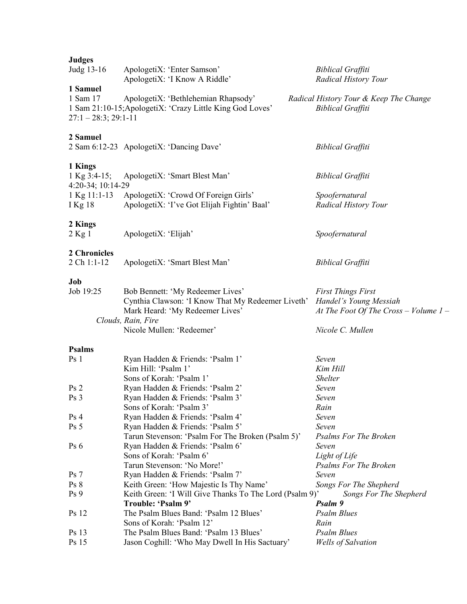| <b>Judges</b><br>Judg 13-16                     | ApologetiX: 'Enter Samson'<br>ApologetiX: 'I Know A Riddle'                                      | <b>Biblical Graffiti</b><br><b>Radical History Tour</b>            |
|-------------------------------------------------|--------------------------------------------------------------------------------------------------|--------------------------------------------------------------------|
| 1 Samuel<br>1 Sam 17<br>$27:1 - 28:3$ ; 29:1-11 | ApologetiX: 'Bethlehemian Rhapsody'<br>1 Sam 21:10-15; ApologetiX: 'Crazy Little King God Loves' | Radical History Tour & Keep The Change<br><b>Biblical Graffiti</b> |
| 2 Samuel                                        | 2 Sam 6:12-23 ApologetiX: 'Dancing Dave'                                                         | <b>Biblical Graffiti</b>                                           |
| 1 Kings<br>1 Kg $3:4-15$ ;<br>4:20-34; 10:14-29 | ApologetiX: 'Smart Blest Man'                                                                    | <b>Biblical Graffiti</b>                                           |
| $1$ Kg $11:1-13$<br>I Kg 18                     | ApologetiX: 'Crowd Of Foreign Girls'<br>ApologetiX: 'I've Got Elijah Fightin' Baal'              | Spoofernatural<br><b>Radical History Tour</b>                      |
| 2 Kings<br>2 Kg 1                               | ApologetiX: 'Elijah'                                                                             | Spoofernatural                                                     |
| 2 Chronicles<br>2 Ch 1:1-12                     | ApologetiX: 'Smart Blest Man'                                                                    | <b>Biblical Graffiti</b>                                           |
| Job                                             |                                                                                                  |                                                                    |
| Job 19:25                                       | Bob Bennett: 'My Redeemer Lives'<br>Cynthia Clawson: 'I Know That My Redeemer Liveth'            | <b>First Things First</b><br>Handel's Young Messiah                |
|                                                 | Mark Heard: 'My Redeemer Lives'<br>Clouds, Rain, Fire                                            | At The Foot Of The Cross - Volume $1-$                             |
|                                                 | Nicole Mullen: 'Redeemer'                                                                        | Nicole C. Mullen                                                   |
|                                                 |                                                                                                  |                                                                    |
| <b>Psalms</b>                                   |                                                                                                  |                                                                    |
| Ps <sub>1</sub>                                 | Ryan Hadden & Friends: 'Psalm 1'                                                                 | Seven                                                              |
|                                                 | Kim Hill: 'Psalm 1'                                                                              | Kim Hill                                                           |
|                                                 | Sons of Korah: 'Psalm 1'                                                                         | <b>Shelter</b>                                                     |
| Ps <sub>2</sub>                                 | Ryan Hadden & Friends: 'Psalm 2'                                                                 | Seven                                                              |
| Ps <sub>3</sub>                                 | Ryan Hadden & Friends: 'Psalm 3'                                                                 | Seven                                                              |
|                                                 | Sons of Korah: 'Psalm 3'                                                                         | Rain<br>Seven                                                      |
| Ps <sub>4</sub><br>Ps <sub>5</sub>              | Ryan Hadden & Friends: 'Psalm 4'<br>Ryan Hadden & Friends: 'Psalm 5'                             | Seven                                                              |
|                                                 | Tarun Stevenson: 'Psalm For The Broken (Psalm 5)'                                                | <b>Psalms For The Broken</b>                                       |
| Ps <sub>6</sub>                                 | Ryan Hadden & Friends: 'Psalm 6'                                                                 | Seven                                                              |
|                                                 | Sons of Korah: 'Psalm 6'                                                                         | Light of Life                                                      |
|                                                 | Tarun Stevenson: 'No More!'                                                                      | <b>Psalms For The Broken</b>                                       |
| Ps <sub>7</sub>                                 | Ryan Hadden & Friends: 'Psalm 7'                                                                 | Seven                                                              |
| Ps 8                                            | Keith Green: 'How Majestic Is Thy Name'                                                          | Songs For The Shepherd                                             |
| Ps <sub>9</sub>                                 | Keith Green: 'I Will Give Thanks To The Lord (Psalm 9)'                                          | Songs For The Shepherd                                             |
|                                                 | Trouble: 'Psalm 9'                                                                               | Psalm 9                                                            |
| <b>Ps</b> 12                                    | The Psalm Blues Band: 'Psalm 12 Blues'                                                           | <b>Psalm Blues</b>                                                 |
|                                                 | Sons of Korah: 'Psalm 12'                                                                        | Rain                                                               |
| Ps 13<br>Ps 15                                  | The Psalm Blues Band: 'Psalm 13 Blues'<br>Jason Coghill: 'Who May Dwell In His Sactuary'         | <b>Psalm Blues</b><br><b>Wells of Salvation</b>                    |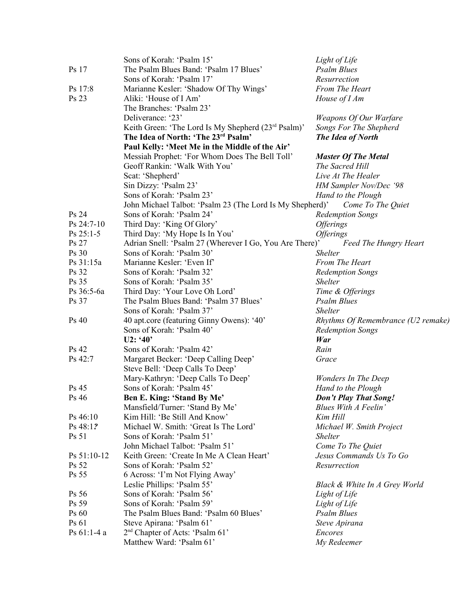|             | Sons of Korah: 'Psalm 15'                                                | Light of Life                                |
|-------------|--------------------------------------------------------------------------|----------------------------------------------|
| Ps 17       | The Psalm Blues Band: 'Psalm 17 Blues'                                   | <b>Psalm Blues</b>                           |
|             | Sons of Korah: 'Psalm 17'                                                | Resurrection                                 |
| Ps 17:8     | Marianne Kesler: 'Shadow Of Thy Wings'                                   | From The Heart                               |
| Ps 23       | Aliki: 'House of I Am'                                                   | House of I Am                                |
|             | The Branches: 'Psalm 23'                                                 |                                              |
|             | Deliverance: '23'                                                        | Weapons Of Our Warfare                       |
|             | Keith Green: 'The Lord Is My Shepherd (23 <sup>rd</sup> Psalm)'          | Songs For The Shepherd                       |
|             | The Idea of North: 'The 23rd Psalm'                                      | The Idea of North                            |
|             |                                                                          |                                              |
|             | Paul Kelly: 'Meet Me in the Middle of the Air'                           |                                              |
|             | Messiah Prophet: 'For Whom Does The Bell Toll'                           | <b>Master Of The Metal</b>                   |
|             | Geoff Rankin: 'Walk With You'                                            | The Sacred Hill                              |
|             | Scat: 'Shepherd'                                                         | Live At The Healer                           |
|             | Sin Dizzy: 'Psalm 23'                                                    | HM Sampler Nov/Dec '98                       |
|             | Sons of Korah: 'Psalm 23'                                                | Hand to the Plough                           |
|             | John Michael Talbot: 'Psalm 23 (The Lord Is My Shepherd)'                | Come To The Quiet                            |
| Ps 24       | Sons of Korah: 'Psalm 24'                                                | <b>Redemption Songs</b>                      |
| Ps 24:7-10  | Third Day: 'King Of Glory'                                               | <i><b>Offerings</b></i>                      |
| $Ps 25:1-5$ | Third Day: 'My Hope Is In You'                                           | <i><b>Offerings</b></i>                      |
| Ps 27       | Adrian Snell: 'Psalm 27 (Wherever I Go, You Are There)'                  | <b>Feed The Hungry Heart</b>                 |
| Ps 30       | Sons of Korah: 'Psalm 30'                                                | <b>Shelter</b>                               |
| Ps 31:15a   | Marianne Kesler: 'Even If'                                               | From The Heart                               |
| Ps 32       | Sons of Korah: 'Psalm 32'                                                | <b>Redemption Songs</b>                      |
| Ps 35       | Sons of Korah: 'Psalm 35'                                                | <i>Shelter</i>                               |
| Ps 36:5-6a  | Third Day: 'Your Love Oh Lord'                                           | Time & Offerings                             |
| Ps 37       | The Psalm Blues Band: 'Psalm 37 Blues'                                   | <b>Psalm Blues</b>                           |
|             | Sons of Korah: 'Psalm 37'                                                | <b>Shelter</b>                               |
| Ps 40       | 40 apt.core (featuring Ginny Owens): '40'                                | Rhythms Of Remembrance (U2 remake)           |
|             | Sons of Korah: 'Psalm 40'                                                |                                              |
|             |                                                                          | <b>Redemption Songs</b>                      |
|             | U2: '40'                                                                 | War                                          |
| Ps 42       | Sons of Korah: 'Psalm 42'                                                | Rain                                         |
| Ps 42:7     | Margaret Becker: 'Deep Calling Deep'<br>Steve Bell: 'Deep Calls To Deep' | Grace                                        |
|             | Mary-Kathryn: 'Deep Calls To Deep'                                       | Wonders In The Deep                          |
| Ps 45       | Sons of Korah: 'Psalm 45'                                                | Hand to the Plough                           |
| Ps 46       | Ben E. King: 'Stand By Me'                                               | Don't Play That Song!                        |
|             | Mansfield/Turner: 'Stand By Me'                                          | <b>Blues With A Feelin'</b>                  |
| Ps 46:10    | Kim Hill: 'Be Still And Know'                                            | Kim Hill                                     |
| Ps 48:1?    | Michael W. Smith: 'Great Is The Lord'                                    | Michael W. Smith Project                     |
| Ps 51       | Sons of Korah: 'Psalm 51'                                                | <b>Shelter</b>                               |
|             | John Michael Talbot: 'Psalm 51'                                          |                                              |
|             |                                                                          | Come To The Quiet<br>Jesus Commands Us To Go |
| Ps 51:10-12 | Keith Green: 'Create In Me A Clean Heart'                                |                                              |
| Ps 52       | Sons of Korah: 'Psalm 52'                                                | Resurrection                                 |
| Ps 55       | 6 Across: 'I'm Not Flying Away'                                          |                                              |
|             | Leslie Phillips: 'Psalm 55'                                              | Black & White In A Grey World                |
| Ps 56       | Sons of Korah: 'Psalm 56'                                                | Light of Life                                |
| Ps 59       | Sons of Korah: 'Psalm 59'                                                | Light of Life                                |
| Ps 60       | The Psalm Blues Band: 'Psalm 60 Blues'                                   | <b>Psalm Blues</b>                           |
| Ps 61       | Steve Apirana: 'Psalm 61'                                                | Steve Apirana                                |
| Ps 61:1-4 a | 2 <sup>nd</sup> Chapter of Acts: 'Psalm 61'                              | Encores                                      |
|             | Matthew Ward: 'Psalm 61'                                                 | My Redeemer                                  |
|             |                                                                          |                                              |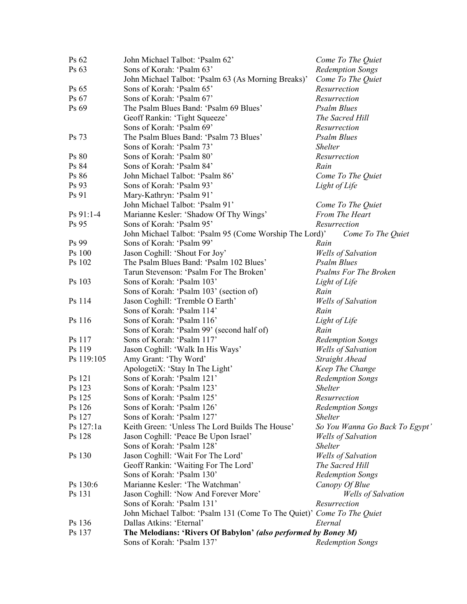| Ps 62            | John Michael Talbot: 'Psalm 62'                                        | Come To The Quiet                                    |
|------------------|------------------------------------------------------------------------|------------------------------------------------------|
| Ps 63            | Sons of Korah: 'Psalm 63'                                              | <b>Redemption Songs</b>                              |
|                  | John Michael Talbot: 'Psalm 63 (As Morning Breaks)'                    | Come To The Quiet                                    |
| Ps 65            | Sons of Korah: 'Psalm 65'                                              | Resurrection                                         |
| Ps 67            | Sons of Korah: 'Psalm 67'                                              | Resurrection                                         |
| Ps 69            | The Psalm Blues Band: 'Psalm 69 Blues'                                 | <b>Psalm Blues</b>                                   |
|                  | Geoff Rankin: 'Tight Squeeze'                                          | The Sacred Hill                                      |
|                  | Sons of Korah: 'Psalm 69'                                              | Resurrection                                         |
| Ps 73            | The Psalm Blues Band: 'Psalm 73 Blues'                                 | <b>Psalm Blues</b>                                   |
|                  | Sons of Korah: 'Psalm 73'                                              | <b>Shelter</b>                                       |
| Ps 80            | Sons of Korah: 'Psalm 80'                                              | Resurrection                                         |
| Ps 84            | Sons of Korah: 'Psalm 84'                                              | Rain                                                 |
| Ps 86            | John Michael Talbot: 'Psalm 86'                                        | Come To The Quiet                                    |
| Ps 93            | Sons of Korah: 'Psalm 93'                                              | Light of Life                                        |
| Ps 91            | Mary-Kathryn: 'Psalm 91'                                               |                                                      |
|                  | John Michael Talbot: 'Psalm 91'                                        | Come To The Quiet                                    |
| $Ps 91:1-4$      | Marianne Kesler: 'Shadow Of Thy Wings'                                 | From The Heart                                       |
| Ps 95            | Sons of Korah: 'Psalm 95'                                              | Resurrection                                         |
|                  | John Michael Talbot: 'Psalm 95 (Come Worship The Lord)'                | Come To The Quiet                                    |
| Ps 99            | Sons of Korah: 'Psalm 99'                                              | Rain                                                 |
| Ps 100           | Jason Coghill: 'Shout For Joy'                                         | <b>Wells</b> of Salvation                            |
| Ps 102           | The Psalm Blues Band: 'Psalm 102 Blues'                                | <b>Psalm Blues</b>                                   |
|                  | Tarun Stevenson: 'Psalm For The Broken'                                | <b>Psalms For The Broken</b>                         |
| Ps 103           | Sons of Korah: 'Psalm 103'                                             | Light of Life                                        |
|                  | Sons of Korah: 'Psalm 103' (section of)                                | Rain                                                 |
| Ps 114           | Jason Coghill: 'Tremble O Earth'                                       | <b>Wells of Salvation</b>                            |
|                  | Sons of Korah: 'Psalm 114'                                             | Rain                                                 |
| Ps 116           | Sons of Korah: 'Psalm 116'                                             | Light of Life                                        |
|                  | Sons of Korah: 'Psalm 99' (second half of)                             | Rain                                                 |
| Ps 117           | Sons of Korah: 'Psalm 117'                                             |                                                      |
| Ps 119           | Jason Coghill: 'Walk In His Ways'                                      | <b>Redemption Songs</b><br><b>Wells of Salvation</b> |
| Ps 119:105       | Amy Grant: 'Thy Word'                                                  | Straight Ahead                                       |
|                  |                                                                        |                                                      |
|                  | ApologetiX: 'Stay In The Light'<br>Sons of Korah: 'Psalm 121'          | Keep The Change                                      |
| Ps 121<br>Ps 123 | Sons of Korah: 'Psalm 123'                                             | <b>Redemption Songs</b><br><b>Shelter</b>            |
| Ps 125           | Sons of Korah: 'Psalm 125'                                             | Resurrection                                         |
| Ps 126           | Sons of Korah: 'Psalm 126'                                             | <b>Redemption Songs</b>                              |
| Ps 127           | Sons of Korah: 'Psalm 127'                                             | <b>Shelter</b>                                       |
| Ps 127:1a        | Keith Green: 'Unless The Lord Builds The House'                        |                                                      |
| Ps 128           |                                                                        | So You Wanna Go Back To Egypt'                       |
|                  | Jason Coghill: 'Peace Be Upon Israel'<br>Sons of Korah: 'Psalm 128'    | <b>Wells of Salvation</b>                            |
| Ps 130           |                                                                        | <b>Shelter</b>                                       |
|                  | Jason Coghill: 'Wait For The Lord'                                     | <b>Wells of Salvation</b>                            |
|                  | Geoff Rankin: 'Waiting For The Lord'<br>Sons of Korah: 'Psalm 130'     | The Sacred Hill                                      |
|                  |                                                                        | <b>Redemption Songs</b>                              |
| Ps 130:6         | Marianne Kesler: 'The Watchman'                                        | Canopy Of Blue                                       |
| Ps 131           | Jason Coghill: 'Now And Forever More'                                  | <b>Wells of Salvation</b>                            |
|                  | Sons of Korah: 'Psalm 131'                                             | Resurrection                                         |
|                  | John Michael Talbot: 'Psalm 131 (Come To The Quiet)' Come To The Quiet |                                                      |
| Ps 136           | Dallas Atkins: 'Eternal'                                               | Eternal                                              |
| Ps 137           | The Melodians: 'Rivers Of Babylon' (also performed by Boney M)         |                                                      |
|                  | Sons of Korah: 'Psalm 137'                                             | <b>Redemption Songs</b>                              |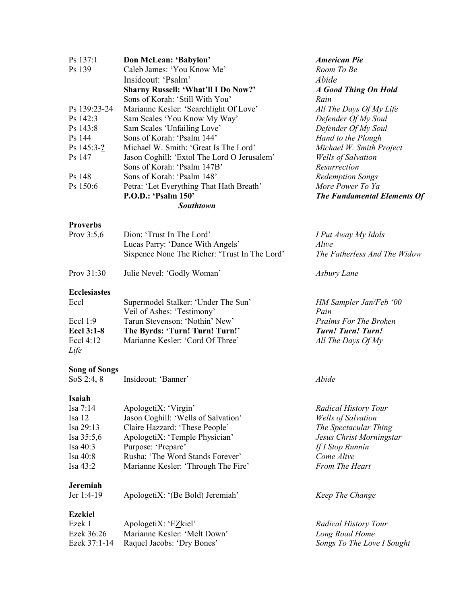| Ps 137:1                             | Don McLean: 'Babylon'                         | <b>American Pie</b>          |
|--------------------------------------|-----------------------------------------------|------------------------------|
| Ps 139                               | Caleb James: 'You Know Me'                    | Room To Be                   |
|                                      | Insideout: 'Psalm'                            | Abide                        |
|                                      | <b>Sharny Russell: 'What'll I Do Now?'</b>    | <b>A Good Thing On Hold</b>  |
|                                      | Sons of Korah: 'Still With You'               | Rain                         |
| Ps 139:23-24                         | Marianne Kesler: 'Searchlight Of Love'        | All The Days Of My Life      |
| Ps 142:3                             | Sam Scales 'You Know My Way'                  | Defender Of My Soul          |
| Ps 143:8                             | Sam Scales 'Unfailing Love'                   | Defender Of My Soul          |
| Ps 144                               | Sons of Korah: 'Psalm 144'                    | Hand to the Plough           |
| Ps $145:3-?$                         | Michael W. Smith: 'Great Is The Lord'         | Michael W. Smith Project     |
| Ps 147                               | Jason Coghill: 'Extol The Lord O Jerusalem'   | Wells of Salvation           |
|                                      | Sons of Korah: 'Psalm 147B'                   | Resurrection                 |
| Ps 148                               | Sons of Korah: 'Psalm 148'                    | <b>Redemption Songs</b>      |
| Ps 150:6                             |                                               | More Power To Ya             |
|                                      | Petra: 'Let Everything That Hath Breath'      |                              |
|                                      | P.O.D.: 'Psalm 150'                           | The Fundamental Elements Of  |
|                                      | <b>Southtown</b>                              |                              |
| <b>Proverbs</b>                      |                                               |                              |
| Prov $3:5,6$                         | Dion: 'Trust In The Lord'                     | I Put Away My Idols          |
|                                      | Lucas Parry: 'Dance With Angels'              | Alive                        |
|                                      | Sixpence None The Richer: 'Trust In The Lord' | The Fatherless And The Widow |
|                                      |                                               |                              |
| Prov 31:30                           | Julie Nevel: 'Godly Woman'                    | Asbury Lane                  |
| <b>Ecclesiastes</b>                  |                                               |                              |
| Eccl                                 | Supermodel Stalker: 'Under The Sun'           | HM Sampler Jan/Feb '00       |
|                                      | Veil of Ashes: 'Testimony'                    | Pain                         |
| Eccl $1:9$                           | Tarun Stevenson: 'Nothin' New'                | <b>Psalms For The Broken</b> |
| <b>Eccl 3:1-8</b>                    | The Byrds: 'Turn! Turn! Turn!'                | <b>Turn! Turn! Turn!</b>     |
| Eccl 4:12                            | Marianne Kesler: 'Cord Of Three'              | All The Days Of My           |
| Life                                 |                                               |                              |
|                                      |                                               |                              |
| <b>Song of Songs</b><br>SoS $2:4, 8$ | Insideout: 'Banner'                           | Abide                        |
|                                      |                                               |                              |
| Isaiah                               |                                               |                              |
| Isa $7:14$                           | ApologetiX: 'Virgin'                          | <b>Radical History Tour</b>  |
| Isa 12                               | Jason Coghill: 'Wells of Salvation'           | <b>Wells of Salvation</b>    |
| Isa 29:13                            | Claire Hazzard: 'These People'                | The Spectacular Thing        |
| Isa $35:5,6$                         | ApologetiX: 'Temple Physician'                | Jesus Christ Morningstar     |
| Isa 40:3                             | Purpose: 'Prepare'                            | If I Stop Runnin             |
| Isa 40:8                             | Rusha: 'The Word Stands Forever'              | Come Alive                   |
| Isa 43:2                             | Marianne Kesler: 'Through The Fire'           | From The Heart               |
|                                      |                                               |                              |
| <b>Jeremiah</b><br>Jer 1:4-19        | ApologetiX: '(Be Bold) Jeremiah'              | Keep The Change              |
|                                      |                                               |                              |
| <b>Ezekiel</b>                       |                                               |                              |
| Ezek 1                               | ApologetiX: 'EZkiel'                          | <b>Radical History Tour</b>  |
| Ezek 36:26                           | Marianne Kesler: 'Melt Down'                  | Long Road Home               |
| Ezek 37:1-14                         | Raquel Jacobs: 'Dry Bones'                    | Songs To The Love I Sought   |
|                                      |                                               |                              |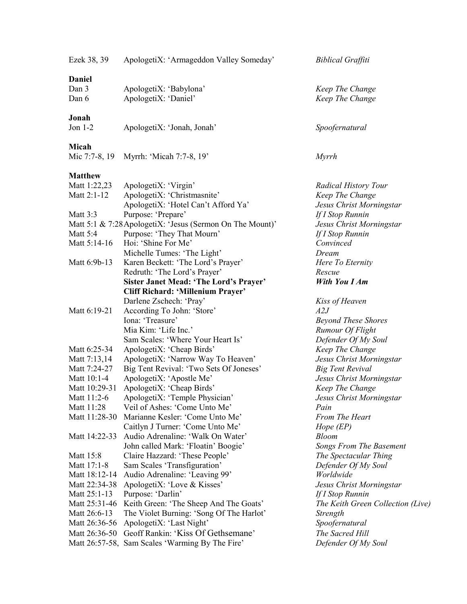| Ezek 38, 39     | ApologetiX: 'Armageddon Valley Someday'                   | <b>Biblical Graffiti</b>          |
|-----------------|-----------------------------------------------------------|-----------------------------------|
| <b>Daniel</b>   |                                                           |                                   |
| Dan 3           | ApologetiX: 'Babylona'                                    | Keep The Change                   |
| Dan 6           | ApologetiX: 'Daniel'                                      | Keep The Change                   |
| Jonah           |                                                           |                                   |
| Jon $1-2$       | ApologetiX: 'Jonah, Jonah'                                | Spoofernatural                    |
| Micah           |                                                           |                                   |
|                 | Mic 7:7-8, 19 Myrrh: 'Micah 7:7-8, 19'                    | Myrrh                             |
| <b>Matthew</b>  |                                                           |                                   |
| Matt 1:22,23    | ApologetiX: 'Virgin'                                      | <b>Radical History Tour</b>       |
| Matt 2:1-12     | ApologetiX: 'Christmasnite'                               | Keep The Change                   |
|                 | ApologetiX: 'Hotel Can't Afford Ya'                       | Jesus Christ Morningstar          |
| <b>Matt 3:3</b> | Purpose: 'Prepare'                                        | If I Stop Runnin                  |
|                 | Matt 5:1 & 7:28 ApologetiX: 'Jesus (Sermon On The Mount)' | Jesus Christ Morningstar          |
| Matt 5:4        | Purpose: 'They That Mourn'                                | If I Stop Runnin                  |
| Matt 5:14-16    | Hoi: 'Shine For Me'                                       | Convinced                         |
|                 | Michelle Tumes: 'The Light'                               | Dream                             |
| Matt 6:9b-13    | Karen Beckett: 'The Lord's Prayer'                        | Here To Eternity                  |
|                 | Redruth: 'The Lord's Prayer'                              | Rescue                            |
|                 | <b>Sister Janet Mead: 'The Lord's Prayer'</b>             | <b>With You I Am</b>              |
|                 | Cliff Richard: 'Millenium Prayer'                         |                                   |
|                 | Darlene Zschech: 'Pray'                                   | Kiss of Heaven                    |
| Matt 6:19-21    | According To John: 'Store'                                | A2J                               |
|                 | Iona: 'Treasure'                                          | <b>Beyond These Shores</b>        |
|                 | Mia Kim: 'Life Inc.'                                      | Rumour Of Flight                  |
|                 | Sam Scales: 'Where Your Heart Is'                         | Defender Of My Soul               |
| Matt 6:25-34    | ApologetiX: 'Cheap Birds'                                 | Keep The Change                   |
| Matt 7:13,14    | ApologetiX: 'Narrow Way To Heaven'                        | Jesus Christ Morningstar          |
| Matt 7:24-27    | Big Tent Revival: 'Two Sets Of Joneses'                   | <b>Big Tent Revival</b>           |
| Matt 10:1-4     | ApologetiX: 'Apostle Me'                                  | Jesus Christ Morningstar          |
| Matt 10:29-31   | ApologetiX: 'Cheap Birds'                                 | Keep The Change                   |
| Matt 11:2-6     | ApologetiX: 'Temple Physician'                            | Jesus Christ Morningstar          |
| Matt 11:28      | Veil of Ashes: 'Come Unto Me'                             | Pain                              |
| Matt 11:28-30   | Marianne Kesler: 'Come Unto Me'                           | From The Heart                    |
|                 | Caitlyn J Turner: 'Come Unto Me'                          | Hope $(EP)$                       |
| Matt 14:22-33   | Audio Adrenaline: 'Walk On Water'                         | <b>Bloom</b>                      |
|                 | John called Mark: 'Floatin' Boogie'                       | <b>Songs From The Basement</b>    |
| Matt 15:8       | Claire Hazzard: 'These People'                            | The Spectacular Thing             |
| Matt 17:1-8     | Sam Scales 'Transfiguration'                              | Defender Of My Soul               |
| Matt 18:12-14   | Audio Adrenaline: 'Leaving 99'                            | Worldwide                         |
| Matt 22:34-38   | ApologetiX: 'Love & Kisses'                               | Jesus Christ Morningstar          |
| Matt 25:1-13    | Purpose: 'Darlin'                                         | If I Stop Runnin                  |
| Matt 25:31-46   | Keith Green: 'The Sheep And The Goats'                    | The Keith Green Collection (Live) |
| Matt 26:6-13    | The Violet Burning: 'Song Of The Harlot'                  | Strength                          |
| Matt 26:36-56   | ApologetiX: 'Last Night'                                  | Spoofernatural                    |
| Matt 26:36-50   | Geoff Rankin: 'Kiss Of Gethsemane'                        | The Sacred Hill                   |
|                 | Matt 26:57-58, Sam Scales 'Warming By The Fire'           | Defender Of My Soul               |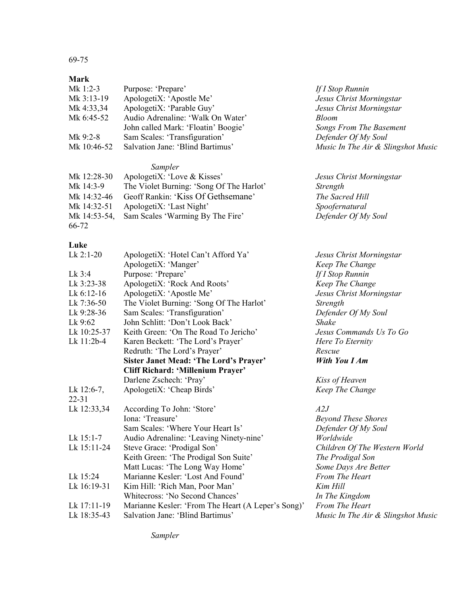# 69-75

#### **Mark**

| Mk 1:2-3    | Purpose: 'Prepare'                  | If I Sto     |
|-------------|-------------------------------------|--------------|
| Mk 3:13-19  | ApologetiX: 'Apostle Me'            | Jesus        |
| Mk 4:33,34  | ApologetiX: 'Parable Guy'           | Jesus        |
| Mk 6:45-52  | Audio Adrenaline: 'Walk On Water'   | <b>Bloom</b> |
|             | John called Mark: 'Floatin' Boogie' | Songs        |
| Mk 9:2-8    | Sam Scales: 'Transfiguration'       | Defend       |
| Mk 10:46-52 | Salvation Jane: 'Blind Bartimus'    | Music        |

## *Sampler*

| Mk 12:28-30  | ApologetiX: 'Love & Kisses'              |
|--------------|------------------------------------------|
| Mk 14:3-9    | The Violet Burning: 'Song Of The Harlot' |
| Mk 14:32-46  | Geoff Rankin: 'Kiss Of Gethsemane'       |
| Mk 14:32-51  | ApologetiX: 'Last Night'                 |
| Mk 14:53-54, | Sam Scales 'Warming By The Fire'         |
| 66-72        |                                          |

### **Luke**

| $Lk$ 2:1-20   | ApologetiX: 'Hotel Can't Afford Ya'                | Jesus Christ Morningstar           |
|---------------|----------------------------------------------------|------------------------------------|
|               | ApologetiX: 'Manger'                               | Keep The Change                    |
| Lk 3:4        | Purpose: 'Prepare'                                 | If I Stop Runnin                   |
| Lk 3:23-38    | ApologetiX: 'Rock And Roots'                       | Keep The Change                    |
| Lk $6:12-16$  | ApologetiX: 'Apostle Me'                           | Jesus Christ Morningstar           |
| Lk 7:36-50    | The Violet Burning: 'Song Of The Harlot'           | Strength                           |
| Lk 9:28-36    | Sam Scales: 'Transfiguration'                      | Defender Of My Soul                |
| Lk 9:62       | John Schlitt: 'Don't Look Back'                    | Shake                              |
| Lk 10:25-37   | Keith Green: 'On The Road To Jericho'              | Jesus Commands Us To Go            |
| Lk 11:2b-4    | Karen Beckett: 'The Lord's Prayer'                 | Here To Eternity                   |
|               | Redruth: 'The Lord's Prayer'                       | Rescue                             |
|               | <b>Sister Janet Mead: 'The Lord's Prayer'</b>      | With You I Am                      |
|               | Cliff Richard: 'Millenium Prayer'                  |                                    |
|               | Darlene Zschech: 'Pray'                            | Kiss of Heaven                     |
| Lk $12:6-7$ , | ApologetiX: 'Cheap Birds'                          | Keep The Change                    |
| $22 - 31$     |                                                    |                                    |
| Lk 12:33,34   | According To John: 'Store'                         | A2J                                |
|               | Iona: 'Treasure'                                   | <b>Beyond These Shores</b>         |
|               | Sam Scales: 'Where Your Heart Is'                  | Defender Of My Soul                |
| Lk 15:1-7     | Audio Adrenaline: 'Leaving Ninety-nine'            | Worldwide                          |
| Lk 15:11-24   | Steve Grace: 'Prodigal Son'                        | Children Of The Western World      |
|               | Keith Green: 'The Prodigal Son Suite'              | The Prodigal Son                   |
|               | Matt Lucas: 'The Long Way Home'                    | Some Days Are Better               |
| Lk 15:24      | Marianne Kesler: 'Lost And Found'                  | <b>From The Heart</b>              |
| Lk 16:19-31   | Kim Hill: 'Rich Man, Poor Man'                     | Kim Hill                           |
|               | Whitecross: 'No Second Chances'                    | In The Kingdom                     |
| Lk 17:11-19   | Marianne Kesler: 'From The Heart (A Leper's Song)' | From The Heart                     |
| Lk 18:35-43   | Salvation Jane: 'Blind Bartimus'                   | Music In The Air & Slingshot Music |

Mk 1:2-3 Purpose: 'Prepare' *If I Stop Runnin*

 $J$ esus Christ Morningstar  $Jesus$  *Christ Morningstar* 

Songs From The Basement Defender Of My Soul

Mk 12:28-30 ApologetiX: 'Love & Kisses' *Jesus Christ Morningstar*

 $Streamgth$ 

The Sacred Hill  $S$ poofernatural Defender Of My Soul

Music In The Air & Slingshot Music

*Sampler*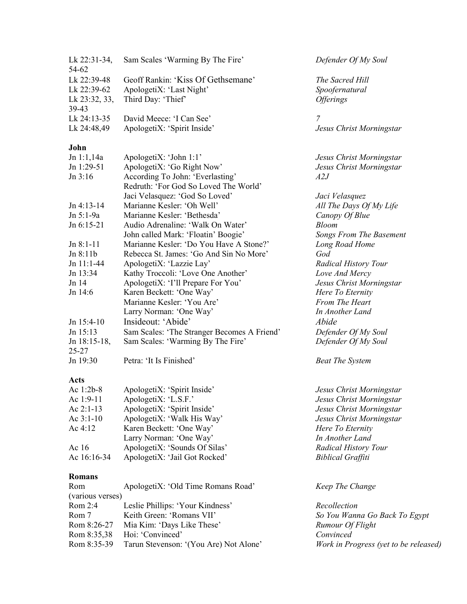| Geoff Rankin: 'Kiss Of Gethsemane'<br>Lk 22:39-48<br>The Sacred Hill<br>ApologetiX: 'Last Night'<br>Lk 22:39-62<br>Spoofernatural<br>Third Day: 'Thief'<br>Lk 23:32, 33,<br><i><b>Offerings</b></i><br>39-43<br>$\overline{7}$<br>Lk 24:13-35<br>David Meece: 'I Can See'<br>Lk 24:48,49<br>ApologetiX: 'Spirit Inside'<br>Jesus Christ Morningstar<br>John<br>Jn 1:1,14a<br>ApologetiX: 'John 1:1'<br>Jesus Christ Morningstar<br>ApologetiX: 'Go Right Now'<br>Jn 1:29-51<br>Jesus Christ Morningstar<br>According To John: 'Everlasting'<br>Jn 3:16<br>A2J<br>Redruth: 'For God So Loved The World'<br>Jaci Velasquez: 'God So Loved'<br>Jaci Velasquez<br>All The Days Of My Life<br>$Jn$ 4:13-14<br>Marianne Kesler: 'Oh Well'<br>Marianne Kesler: 'Bethesda'<br>Jn 5:1-9a<br>Canopy Of Blue<br>Audio Adrenaline: 'Walk On Water'<br>Jn 6:15-21<br><b>Bloom</b><br>John called Mark: 'Floatin' Boogie'<br>Songs From The Basement<br>Marianne Kesler: 'Do You Have A Stone?'<br>$Jn 8:1-11$<br>Long Road Home<br>Rebecca St. James: 'Go And Sin No More'<br>Jn 8:11b<br>God<br>$Jn$ 11:1-44<br>ApologetiX: 'Lazzie Lay'<br><b>Radical History Tour</b><br>Kathy Troccoli: 'Love One Another'<br>Jn 13:34<br>Love And Mercy<br>ApologetiX: 'I'll Prepare For You'<br>Jn 14<br>Jesus Christ Morningstar<br>Karen Beckett: 'One Way'<br>Jn 14:6<br>Here To Eternity<br>Marianne Kesler: 'You Are'<br>From The Heart<br>Larry Norman: 'One Way'<br>In Another Land<br>Insideout: 'Abide'<br>Abide<br>Jn $15:4-10$<br>Jn 15:13<br>Sam Scales: 'The Stranger Becomes A Friend'<br>Defender Of My Soul<br>Sam Scales: 'Warming By The Fire'<br>Defender Of My Soul<br>Jn $18:15-18$ ,<br>$25 - 27$<br>Jn 19:30<br>Petra: 'It Is Finished'<br><b>Beat The System</b><br>Acts<br>ApologetiX: 'Spirit Inside'<br>Ac 1:2b-8<br>Jesus Christ Morningstar<br>Ac 1:9-11<br>ApologetiX: 'L.S.F.'<br>Jesus Christ Morningstar<br>ApologetiX: 'Spirit Inside'<br>Ac $2:1-13$<br>Jesus Christ Morningstar<br>Ac 3:1-10<br>ApologetiX: 'Walk His Way'<br>Jesus Christ Morningstar<br>Ac 4:12<br>Karen Beckett: 'One Way'<br>Here To Eternity<br>Larry Norman: 'One Way'<br>In Another Land<br>ApologetiX: 'Sounds Of Silas'<br>Radical History Tour<br>Ac 16<br>ApologetiX: 'Jail Got Rocked'<br>Ac 16:16-34<br><b>Biblical Graffiti</b><br>Romans<br>Rom<br>ApologetiX: 'Old Time Romans Road'<br>Keep The Change<br>(various verses)<br>Leslie Phillips: 'Your Kindness'<br>Rom $2:4$<br>Recollection<br>Rom 7<br>Keith Green: 'Romans VII'<br>So You Wanna Go Back To Egypt<br>Rom 8:26-27<br>Mia Kim: 'Days Like These'<br>Rumour Of Flight<br>Rom 8:35,38<br>Hoi: 'Convinced'<br>Convinced<br>Rom 8:35-39<br>Tarun Stevenson: '(You Are) Not Alone'<br>Work in Progress (yet to be released) | Lk $22:31-34$ ,<br>54-62 | Sam Scales 'Warming By The Fire' | Defender Of My Soul |
|-------------------------------------------------------------------------------------------------------------------------------------------------------------------------------------------------------------------------------------------------------------------------------------------------------------------------------------------------------------------------------------------------------------------------------------------------------------------------------------------------------------------------------------------------------------------------------------------------------------------------------------------------------------------------------------------------------------------------------------------------------------------------------------------------------------------------------------------------------------------------------------------------------------------------------------------------------------------------------------------------------------------------------------------------------------------------------------------------------------------------------------------------------------------------------------------------------------------------------------------------------------------------------------------------------------------------------------------------------------------------------------------------------------------------------------------------------------------------------------------------------------------------------------------------------------------------------------------------------------------------------------------------------------------------------------------------------------------------------------------------------------------------------------------------------------------------------------------------------------------------------------------------------------------------------------------------------------------------------------------------------------------------------------------------------------------------------------------------------------------------------------------------------------------------------------------------------------------------------------------------------------------------------------------------------------------------------------------------------------------------------------------------------------------------------------------------------------------------------------------------------------------------------------------------------------------------------------------------------------------------------------------------------------------------------------------------------------------------------------------------------------------------------------|--------------------------|----------------------------------|---------------------|
|                                                                                                                                                                                                                                                                                                                                                                                                                                                                                                                                                                                                                                                                                                                                                                                                                                                                                                                                                                                                                                                                                                                                                                                                                                                                                                                                                                                                                                                                                                                                                                                                                                                                                                                                                                                                                                                                                                                                                                                                                                                                                                                                                                                                                                                                                                                                                                                                                                                                                                                                                                                                                                                                                                                                                                                     |                          |                                  |                     |
|                                                                                                                                                                                                                                                                                                                                                                                                                                                                                                                                                                                                                                                                                                                                                                                                                                                                                                                                                                                                                                                                                                                                                                                                                                                                                                                                                                                                                                                                                                                                                                                                                                                                                                                                                                                                                                                                                                                                                                                                                                                                                                                                                                                                                                                                                                                                                                                                                                                                                                                                                                                                                                                                                                                                                                                     |                          |                                  |                     |
|                                                                                                                                                                                                                                                                                                                                                                                                                                                                                                                                                                                                                                                                                                                                                                                                                                                                                                                                                                                                                                                                                                                                                                                                                                                                                                                                                                                                                                                                                                                                                                                                                                                                                                                                                                                                                                                                                                                                                                                                                                                                                                                                                                                                                                                                                                                                                                                                                                                                                                                                                                                                                                                                                                                                                                                     |                          |                                  |                     |
|                                                                                                                                                                                                                                                                                                                                                                                                                                                                                                                                                                                                                                                                                                                                                                                                                                                                                                                                                                                                                                                                                                                                                                                                                                                                                                                                                                                                                                                                                                                                                                                                                                                                                                                                                                                                                                                                                                                                                                                                                                                                                                                                                                                                                                                                                                                                                                                                                                                                                                                                                                                                                                                                                                                                                                                     |                          |                                  |                     |
|                                                                                                                                                                                                                                                                                                                                                                                                                                                                                                                                                                                                                                                                                                                                                                                                                                                                                                                                                                                                                                                                                                                                                                                                                                                                                                                                                                                                                                                                                                                                                                                                                                                                                                                                                                                                                                                                                                                                                                                                                                                                                                                                                                                                                                                                                                                                                                                                                                                                                                                                                                                                                                                                                                                                                                                     |                          |                                  |                     |
|                                                                                                                                                                                                                                                                                                                                                                                                                                                                                                                                                                                                                                                                                                                                                                                                                                                                                                                                                                                                                                                                                                                                                                                                                                                                                                                                                                                                                                                                                                                                                                                                                                                                                                                                                                                                                                                                                                                                                                                                                                                                                                                                                                                                                                                                                                                                                                                                                                                                                                                                                                                                                                                                                                                                                                                     |                          |                                  |                     |
|                                                                                                                                                                                                                                                                                                                                                                                                                                                                                                                                                                                                                                                                                                                                                                                                                                                                                                                                                                                                                                                                                                                                                                                                                                                                                                                                                                                                                                                                                                                                                                                                                                                                                                                                                                                                                                                                                                                                                                                                                                                                                                                                                                                                                                                                                                                                                                                                                                                                                                                                                                                                                                                                                                                                                                                     |                          |                                  |                     |
|                                                                                                                                                                                                                                                                                                                                                                                                                                                                                                                                                                                                                                                                                                                                                                                                                                                                                                                                                                                                                                                                                                                                                                                                                                                                                                                                                                                                                                                                                                                                                                                                                                                                                                                                                                                                                                                                                                                                                                                                                                                                                                                                                                                                                                                                                                                                                                                                                                                                                                                                                                                                                                                                                                                                                                                     |                          |                                  |                     |
|                                                                                                                                                                                                                                                                                                                                                                                                                                                                                                                                                                                                                                                                                                                                                                                                                                                                                                                                                                                                                                                                                                                                                                                                                                                                                                                                                                                                                                                                                                                                                                                                                                                                                                                                                                                                                                                                                                                                                                                                                                                                                                                                                                                                                                                                                                                                                                                                                                                                                                                                                                                                                                                                                                                                                                                     |                          |                                  |                     |
|                                                                                                                                                                                                                                                                                                                                                                                                                                                                                                                                                                                                                                                                                                                                                                                                                                                                                                                                                                                                                                                                                                                                                                                                                                                                                                                                                                                                                                                                                                                                                                                                                                                                                                                                                                                                                                                                                                                                                                                                                                                                                                                                                                                                                                                                                                                                                                                                                                                                                                                                                                                                                                                                                                                                                                                     |                          |                                  |                     |
|                                                                                                                                                                                                                                                                                                                                                                                                                                                                                                                                                                                                                                                                                                                                                                                                                                                                                                                                                                                                                                                                                                                                                                                                                                                                                                                                                                                                                                                                                                                                                                                                                                                                                                                                                                                                                                                                                                                                                                                                                                                                                                                                                                                                                                                                                                                                                                                                                                                                                                                                                                                                                                                                                                                                                                                     |                          |                                  |                     |
|                                                                                                                                                                                                                                                                                                                                                                                                                                                                                                                                                                                                                                                                                                                                                                                                                                                                                                                                                                                                                                                                                                                                                                                                                                                                                                                                                                                                                                                                                                                                                                                                                                                                                                                                                                                                                                                                                                                                                                                                                                                                                                                                                                                                                                                                                                                                                                                                                                                                                                                                                                                                                                                                                                                                                                                     |                          |                                  |                     |
|                                                                                                                                                                                                                                                                                                                                                                                                                                                                                                                                                                                                                                                                                                                                                                                                                                                                                                                                                                                                                                                                                                                                                                                                                                                                                                                                                                                                                                                                                                                                                                                                                                                                                                                                                                                                                                                                                                                                                                                                                                                                                                                                                                                                                                                                                                                                                                                                                                                                                                                                                                                                                                                                                                                                                                                     |                          |                                  |                     |
|                                                                                                                                                                                                                                                                                                                                                                                                                                                                                                                                                                                                                                                                                                                                                                                                                                                                                                                                                                                                                                                                                                                                                                                                                                                                                                                                                                                                                                                                                                                                                                                                                                                                                                                                                                                                                                                                                                                                                                                                                                                                                                                                                                                                                                                                                                                                                                                                                                                                                                                                                                                                                                                                                                                                                                                     |                          |                                  |                     |
|                                                                                                                                                                                                                                                                                                                                                                                                                                                                                                                                                                                                                                                                                                                                                                                                                                                                                                                                                                                                                                                                                                                                                                                                                                                                                                                                                                                                                                                                                                                                                                                                                                                                                                                                                                                                                                                                                                                                                                                                                                                                                                                                                                                                                                                                                                                                                                                                                                                                                                                                                                                                                                                                                                                                                                                     |                          |                                  |                     |
|                                                                                                                                                                                                                                                                                                                                                                                                                                                                                                                                                                                                                                                                                                                                                                                                                                                                                                                                                                                                                                                                                                                                                                                                                                                                                                                                                                                                                                                                                                                                                                                                                                                                                                                                                                                                                                                                                                                                                                                                                                                                                                                                                                                                                                                                                                                                                                                                                                                                                                                                                                                                                                                                                                                                                                                     |                          |                                  |                     |
|                                                                                                                                                                                                                                                                                                                                                                                                                                                                                                                                                                                                                                                                                                                                                                                                                                                                                                                                                                                                                                                                                                                                                                                                                                                                                                                                                                                                                                                                                                                                                                                                                                                                                                                                                                                                                                                                                                                                                                                                                                                                                                                                                                                                                                                                                                                                                                                                                                                                                                                                                                                                                                                                                                                                                                                     |                          |                                  |                     |
|                                                                                                                                                                                                                                                                                                                                                                                                                                                                                                                                                                                                                                                                                                                                                                                                                                                                                                                                                                                                                                                                                                                                                                                                                                                                                                                                                                                                                                                                                                                                                                                                                                                                                                                                                                                                                                                                                                                                                                                                                                                                                                                                                                                                                                                                                                                                                                                                                                                                                                                                                                                                                                                                                                                                                                                     |                          |                                  |                     |
|                                                                                                                                                                                                                                                                                                                                                                                                                                                                                                                                                                                                                                                                                                                                                                                                                                                                                                                                                                                                                                                                                                                                                                                                                                                                                                                                                                                                                                                                                                                                                                                                                                                                                                                                                                                                                                                                                                                                                                                                                                                                                                                                                                                                                                                                                                                                                                                                                                                                                                                                                                                                                                                                                                                                                                                     |                          |                                  |                     |
|                                                                                                                                                                                                                                                                                                                                                                                                                                                                                                                                                                                                                                                                                                                                                                                                                                                                                                                                                                                                                                                                                                                                                                                                                                                                                                                                                                                                                                                                                                                                                                                                                                                                                                                                                                                                                                                                                                                                                                                                                                                                                                                                                                                                                                                                                                                                                                                                                                                                                                                                                                                                                                                                                                                                                                                     |                          |                                  |                     |
|                                                                                                                                                                                                                                                                                                                                                                                                                                                                                                                                                                                                                                                                                                                                                                                                                                                                                                                                                                                                                                                                                                                                                                                                                                                                                                                                                                                                                                                                                                                                                                                                                                                                                                                                                                                                                                                                                                                                                                                                                                                                                                                                                                                                                                                                                                                                                                                                                                                                                                                                                                                                                                                                                                                                                                                     |                          |                                  |                     |
|                                                                                                                                                                                                                                                                                                                                                                                                                                                                                                                                                                                                                                                                                                                                                                                                                                                                                                                                                                                                                                                                                                                                                                                                                                                                                                                                                                                                                                                                                                                                                                                                                                                                                                                                                                                                                                                                                                                                                                                                                                                                                                                                                                                                                                                                                                                                                                                                                                                                                                                                                                                                                                                                                                                                                                                     |                          |                                  |                     |
|                                                                                                                                                                                                                                                                                                                                                                                                                                                                                                                                                                                                                                                                                                                                                                                                                                                                                                                                                                                                                                                                                                                                                                                                                                                                                                                                                                                                                                                                                                                                                                                                                                                                                                                                                                                                                                                                                                                                                                                                                                                                                                                                                                                                                                                                                                                                                                                                                                                                                                                                                                                                                                                                                                                                                                                     |                          |                                  |                     |
|                                                                                                                                                                                                                                                                                                                                                                                                                                                                                                                                                                                                                                                                                                                                                                                                                                                                                                                                                                                                                                                                                                                                                                                                                                                                                                                                                                                                                                                                                                                                                                                                                                                                                                                                                                                                                                                                                                                                                                                                                                                                                                                                                                                                                                                                                                                                                                                                                                                                                                                                                                                                                                                                                                                                                                                     |                          |                                  |                     |
|                                                                                                                                                                                                                                                                                                                                                                                                                                                                                                                                                                                                                                                                                                                                                                                                                                                                                                                                                                                                                                                                                                                                                                                                                                                                                                                                                                                                                                                                                                                                                                                                                                                                                                                                                                                                                                                                                                                                                                                                                                                                                                                                                                                                                                                                                                                                                                                                                                                                                                                                                                                                                                                                                                                                                                                     |                          |                                  |                     |
|                                                                                                                                                                                                                                                                                                                                                                                                                                                                                                                                                                                                                                                                                                                                                                                                                                                                                                                                                                                                                                                                                                                                                                                                                                                                                                                                                                                                                                                                                                                                                                                                                                                                                                                                                                                                                                                                                                                                                                                                                                                                                                                                                                                                                                                                                                                                                                                                                                                                                                                                                                                                                                                                                                                                                                                     |                          |                                  |                     |
|                                                                                                                                                                                                                                                                                                                                                                                                                                                                                                                                                                                                                                                                                                                                                                                                                                                                                                                                                                                                                                                                                                                                                                                                                                                                                                                                                                                                                                                                                                                                                                                                                                                                                                                                                                                                                                                                                                                                                                                                                                                                                                                                                                                                                                                                                                                                                                                                                                                                                                                                                                                                                                                                                                                                                                                     |                          |                                  |                     |
|                                                                                                                                                                                                                                                                                                                                                                                                                                                                                                                                                                                                                                                                                                                                                                                                                                                                                                                                                                                                                                                                                                                                                                                                                                                                                                                                                                                                                                                                                                                                                                                                                                                                                                                                                                                                                                                                                                                                                                                                                                                                                                                                                                                                                                                                                                                                                                                                                                                                                                                                                                                                                                                                                                                                                                                     |                          |                                  |                     |
|                                                                                                                                                                                                                                                                                                                                                                                                                                                                                                                                                                                                                                                                                                                                                                                                                                                                                                                                                                                                                                                                                                                                                                                                                                                                                                                                                                                                                                                                                                                                                                                                                                                                                                                                                                                                                                                                                                                                                                                                                                                                                                                                                                                                                                                                                                                                                                                                                                                                                                                                                                                                                                                                                                                                                                                     |                          |                                  |                     |
|                                                                                                                                                                                                                                                                                                                                                                                                                                                                                                                                                                                                                                                                                                                                                                                                                                                                                                                                                                                                                                                                                                                                                                                                                                                                                                                                                                                                                                                                                                                                                                                                                                                                                                                                                                                                                                                                                                                                                                                                                                                                                                                                                                                                                                                                                                                                                                                                                                                                                                                                                                                                                                                                                                                                                                                     |                          |                                  |                     |
|                                                                                                                                                                                                                                                                                                                                                                                                                                                                                                                                                                                                                                                                                                                                                                                                                                                                                                                                                                                                                                                                                                                                                                                                                                                                                                                                                                                                                                                                                                                                                                                                                                                                                                                                                                                                                                                                                                                                                                                                                                                                                                                                                                                                                                                                                                                                                                                                                                                                                                                                                                                                                                                                                                                                                                                     |                          |                                  |                     |
|                                                                                                                                                                                                                                                                                                                                                                                                                                                                                                                                                                                                                                                                                                                                                                                                                                                                                                                                                                                                                                                                                                                                                                                                                                                                                                                                                                                                                                                                                                                                                                                                                                                                                                                                                                                                                                                                                                                                                                                                                                                                                                                                                                                                                                                                                                                                                                                                                                                                                                                                                                                                                                                                                                                                                                                     |                          |                                  |                     |
|                                                                                                                                                                                                                                                                                                                                                                                                                                                                                                                                                                                                                                                                                                                                                                                                                                                                                                                                                                                                                                                                                                                                                                                                                                                                                                                                                                                                                                                                                                                                                                                                                                                                                                                                                                                                                                                                                                                                                                                                                                                                                                                                                                                                                                                                                                                                                                                                                                                                                                                                                                                                                                                                                                                                                                                     |                          |                                  |                     |
|                                                                                                                                                                                                                                                                                                                                                                                                                                                                                                                                                                                                                                                                                                                                                                                                                                                                                                                                                                                                                                                                                                                                                                                                                                                                                                                                                                                                                                                                                                                                                                                                                                                                                                                                                                                                                                                                                                                                                                                                                                                                                                                                                                                                                                                                                                                                                                                                                                                                                                                                                                                                                                                                                                                                                                                     |                          |                                  |                     |
|                                                                                                                                                                                                                                                                                                                                                                                                                                                                                                                                                                                                                                                                                                                                                                                                                                                                                                                                                                                                                                                                                                                                                                                                                                                                                                                                                                                                                                                                                                                                                                                                                                                                                                                                                                                                                                                                                                                                                                                                                                                                                                                                                                                                                                                                                                                                                                                                                                                                                                                                                                                                                                                                                                                                                                                     |                          |                                  |                     |
|                                                                                                                                                                                                                                                                                                                                                                                                                                                                                                                                                                                                                                                                                                                                                                                                                                                                                                                                                                                                                                                                                                                                                                                                                                                                                                                                                                                                                                                                                                                                                                                                                                                                                                                                                                                                                                                                                                                                                                                                                                                                                                                                                                                                                                                                                                                                                                                                                                                                                                                                                                                                                                                                                                                                                                                     |                          |                                  |                     |
|                                                                                                                                                                                                                                                                                                                                                                                                                                                                                                                                                                                                                                                                                                                                                                                                                                                                                                                                                                                                                                                                                                                                                                                                                                                                                                                                                                                                                                                                                                                                                                                                                                                                                                                                                                                                                                                                                                                                                                                                                                                                                                                                                                                                                                                                                                                                                                                                                                                                                                                                                                                                                                                                                                                                                                                     |                          |                                  |                     |
|                                                                                                                                                                                                                                                                                                                                                                                                                                                                                                                                                                                                                                                                                                                                                                                                                                                                                                                                                                                                                                                                                                                                                                                                                                                                                                                                                                                                                                                                                                                                                                                                                                                                                                                                                                                                                                                                                                                                                                                                                                                                                                                                                                                                                                                                                                                                                                                                                                                                                                                                                                                                                                                                                                                                                                                     |                          |                                  |                     |
|                                                                                                                                                                                                                                                                                                                                                                                                                                                                                                                                                                                                                                                                                                                                                                                                                                                                                                                                                                                                                                                                                                                                                                                                                                                                                                                                                                                                                                                                                                                                                                                                                                                                                                                                                                                                                                                                                                                                                                                                                                                                                                                                                                                                                                                                                                                                                                                                                                                                                                                                                                                                                                                                                                                                                                                     |                          |                                  |                     |
|                                                                                                                                                                                                                                                                                                                                                                                                                                                                                                                                                                                                                                                                                                                                                                                                                                                                                                                                                                                                                                                                                                                                                                                                                                                                                                                                                                                                                                                                                                                                                                                                                                                                                                                                                                                                                                                                                                                                                                                                                                                                                                                                                                                                                                                                                                                                                                                                                                                                                                                                                                                                                                                                                                                                                                                     |                          |                                  |                     |
|                                                                                                                                                                                                                                                                                                                                                                                                                                                                                                                                                                                                                                                                                                                                                                                                                                                                                                                                                                                                                                                                                                                                                                                                                                                                                                                                                                                                                                                                                                                                                                                                                                                                                                                                                                                                                                                                                                                                                                                                                                                                                                                                                                                                                                                                                                                                                                                                                                                                                                                                                                                                                                                                                                                                                                                     |                          |                                  |                     |
|                                                                                                                                                                                                                                                                                                                                                                                                                                                                                                                                                                                                                                                                                                                                                                                                                                                                                                                                                                                                                                                                                                                                                                                                                                                                                                                                                                                                                                                                                                                                                                                                                                                                                                                                                                                                                                                                                                                                                                                                                                                                                                                                                                                                                                                                                                                                                                                                                                                                                                                                                                                                                                                                                                                                                                                     |                          |                                  |                     |
|                                                                                                                                                                                                                                                                                                                                                                                                                                                                                                                                                                                                                                                                                                                                                                                                                                                                                                                                                                                                                                                                                                                                                                                                                                                                                                                                                                                                                                                                                                                                                                                                                                                                                                                                                                                                                                                                                                                                                                                                                                                                                                                                                                                                                                                                                                                                                                                                                                                                                                                                                                                                                                                                                                                                                                                     |                          |                                  |                     |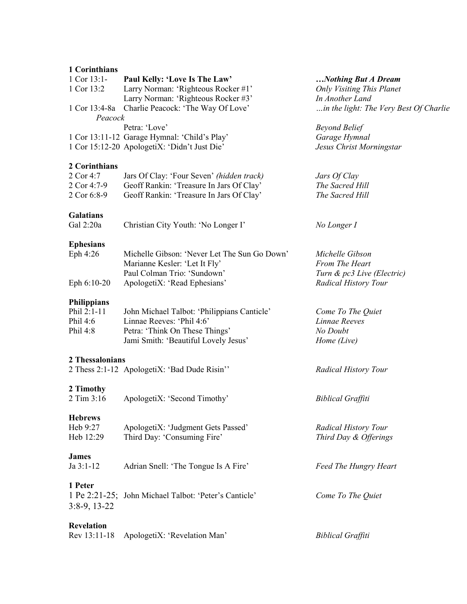### **1 Corinthians**

| $1$ Cor $13:1-$        | Paul Kelly: 'Love Is The Law'                         | Nothing But A Dream                    |
|------------------------|-------------------------------------------------------|----------------------------------------|
| 1 Cor 13:2             | Larry Norman: 'Righteous Rocker #1'                   | <b>Only Visiting This Planet</b>       |
|                        | Larry Norman: 'Righteous Rocker #3'                   | In Another Land                        |
|                        | 1 Cor 13:4-8a Charlie Peacock: 'The Way Of Love'      | in the light: The Very Best Of Charlie |
| Peacock                |                                                       |                                        |
|                        | Petra: 'Love'                                         | <b>Beyond Belief</b>                   |
|                        | 1 Cor 13:11-12 Garage Hymnal: 'Child's Play'          | Garage Hymnal                          |
|                        | 1 Cor 15:12-20 ApologetiX: 'Didn't Just Die'          | Jesus Christ Morningstar               |
| 2 Corinthians          |                                                       |                                        |
| 2 Cor 4:7              | Jars Of Clay: 'Four Seven' (hidden track)             | Jars Of Clay                           |
| 2 Cor 4:7-9            | Geoff Rankin: 'Treasure In Jars Of Clay'              | The Sacred Hill                        |
| 2 Cor 6:8-9            | Geoff Rankin: 'Treasure In Jars Of Clay'              | The Sacred Hill                        |
|                        |                                                       |                                        |
| Galatians<br>Gal 2:20a | Christian City Youth: 'No Longer I'                   | No Longer I                            |
|                        |                                                       |                                        |
| <b>Ephesians</b>       |                                                       |                                        |
| Eph 4:26               | Michelle Gibson: 'Never Let The Sun Go Down'          | Michelle Gibson                        |
|                        | Marianne Kesler: 'Let It Fly'                         | From The Heart                         |
|                        | Paul Colman Trio: 'Sundown'                           | Turn & pc3 Live (Electric)             |
| Eph 6:10-20            | ApologetiX: 'Read Ephesians'                          | Radical History Tour                   |
| <b>Philippians</b>     |                                                       |                                        |
| Phil 2:1-11            | John Michael Talbot: 'Philippians Canticle'           | Come To The Quiet                      |
| Phil 4:6               | Linnae Reeves: 'Phil 4:6'                             | Linnae Reeves                          |
| Phil 4:8               | Petra: 'Think On These Things'                        | No Doubt                               |
|                        | Jami Smith: 'Beautiful Lovely Jesus'                  | Home (Live)                            |
|                        |                                                       |                                        |
| 2 Thessalonians        |                                                       |                                        |
|                        | 2 Thess 2:1-12 ApologetiX: 'Bad Dude Risin''          | <b>Radical History Tour</b>            |
| 2 Timothy              |                                                       |                                        |
| 2 Tim 3:16             | ApologetiX: 'Second Timothy'                          | <b>Biblical Graffiti</b>               |
|                        |                                                       |                                        |
| <b>Hebrews</b>         |                                                       |                                        |
| Heb 9:27               | ApologetiX: 'Judgment Gets Passed'                    | <b>Radical History Tour</b>            |
| Heb 12:29              | Third Day: 'Consuming Fire'                           | Third Day & Offerings                  |
| James                  |                                                       |                                        |
| Ja 3:1-12              | Adrian Snell: 'The Tongue Is A Fire'                  | <b>Feed The Hungry Heart</b>           |
|                        |                                                       |                                        |
| 1 Peter                |                                                       |                                        |
|                        | 1 Pe 2:21-25; John Michael Talbot: 'Peter's Canticle' | Come To The Quiet                      |
| $3:8-9, 13-22$         |                                                       |                                        |
| <b>Revelation</b>      |                                                       |                                        |
| Rev 13:11-18           | ApologetiX: 'Revelation Man'                          | <b>Biblical Graffiti</b>               |
|                        |                                                       |                                        |